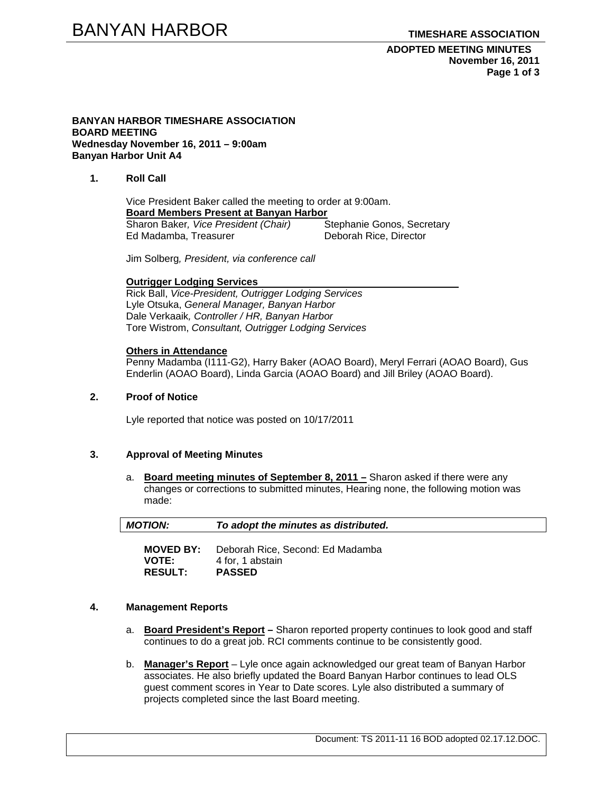**ADOPTED MEETING MINUTES November 16, 2011 Page 1 of 3** 

### **BANYAN HARBOR TIMESHARE ASSOCIATION BOARD MEETING Wednesday November 16, 2011 – 9:00am Banyan Harbor Unit A4**

## **1. Roll Call**

Vice President Baker called the meeting to order at 9:00am. **Board Members Present at Banyan Harbor** Sharon Baker*, Vice President (Chair)* Stephanie Gonos, Secretary **Ed Madamba, Treasurer** 

Jim Solberg*, President, via conference call* 

#### **Outrigger Lodging Services**

Rick Ball, *Vice-President, Outrigger Lodging Services* Lyle Otsuka, *General Manager, Banyan Harbor*  Dale Verkaaik*, Controller / HR, Banyan Harbor*  Tore Wistrom, *Consultant, Outrigger Lodging Services* 

### **Others in Attendance**

Penny Madamba (I111-G2), Harry Baker (AOAO Board), Meryl Ferrari (AOAO Board), Gus Enderlin (AOAO Board), Linda Garcia (AOAO Board) and Jill Briley (AOAO Board).

## **2. Proof of Notice**

Lyle reported that notice was posted on 10/17/2011

### **3. Approval of Meeting Minutes**

a. **Board meeting minutes of September 8, 2011 –** Sharon asked if there were any changes or corrections to submitted minutes, Hearing none, the following motion was made:

| <b>MOTION:</b>   | To adopt the minutes as distributed. |  |
|------------------|--------------------------------------|--|
| <b>MOVED BY:</b> | Deborah Rice, Second: Ed Madamba     |  |
| <b>VOTE:</b>     | 4 for. 1 abstain                     |  |

**RESULT: PASSED** 

### **4. Management Reports**

- a. **Board President's Report** Sharon reported property continues to look good and staff continues to do a great job. RCI comments continue to be consistently good.
- b. **Manager's Report** Lyle once again acknowledged our great team of Banyan Harbor associates. He also briefly updated the Board Banyan Harbor continues to lead OLS guest comment scores in Year to Date scores. Lyle also distributed a summary of projects completed since the last Board meeting.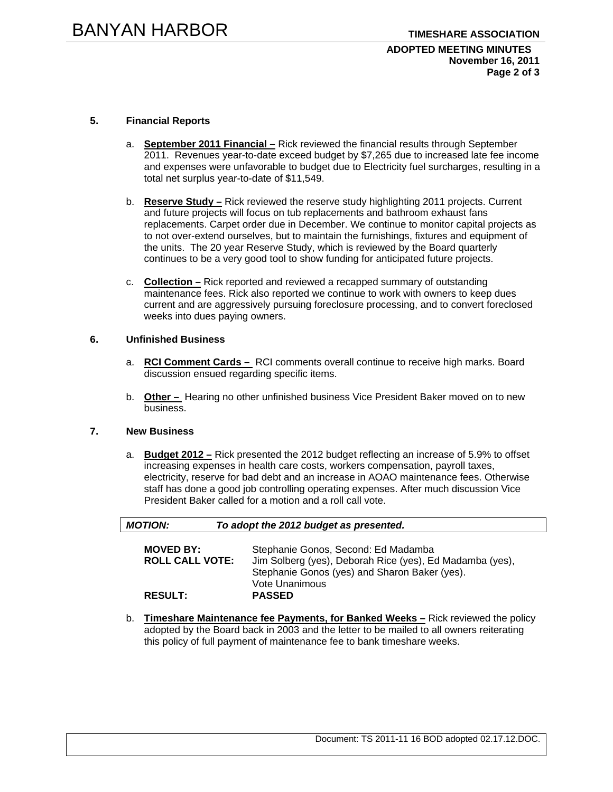## **ADOPTED MEETING MINUTES November 16, 2011 Page 2 of 3**

# **5. Financial Reports**

- a. **September 2011 Financial –** Rick reviewed the financial results through September 2011. Revenues year-to-date exceed budget by \$7,265 due to increased late fee income and expenses were unfavorable to budget due to Electricity fuel surcharges, resulting in a total net surplus year-to-date of \$11,549.
- b. **Reserve Study –** Rick reviewed the reserve study highlighting 2011 projects. Current and future projects will focus on tub replacements and bathroom exhaust fans replacements. Carpet order due in December. We continue to monitor capital projects as to not over-extend ourselves, but to maintain the furnishings, fixtures and equipment of the units. The 20 year Reserve Study, which is reviewed by the Board quarterly continues to be a very good tool to show funding for anticipated future projects.
- c. **Collection –** Rick reported and reviewed a recapped summary of outstanding maintenance fees. Rick also reported we continue to work with owners to keep dues current and are aggressively pursuing foreclosure processing, and to convert foreclosed weeks into dues paying owners.

### **6. Unfinished Business**

- a. **RCI Comment Cards** RCI comments overall continue to receive high marks. Board discussion ensued regarding specific items.
- b. **Other** Hearing no other unfinished business Vice President Baker moved on to new business.

### **7. New Business**

a. **Budget 2012 –** Rick presented the 2012 budget reflecting an increase of 5.9% to offset increasing expenses in health care costs, workers compensation, payroll taxes, electricity, reserve for bad debt and an increase in AOAO maintenance fees. Otherwise staff has done a good job controlling operating expenses. After much discussion Vice President Baker called for a motion and a roll call vote.

| <b>MOTION:</b>                             | To adopt the 2012 budget as presented.                                                                                                                             |
|--------------------------------------------|--------------------------------------------------------------------------------------------------------------------------------------------------------------------|
| <b>MOVED BY:</b><br><b>ROLL CALL VOTE:</b> | Stephanie Gonos, Second: Ed Madamba<br>Jim Solberg (yes), Deborah Rice (yes), Ed Madamba (yes),<br>Stephanie Gonos (yes) and Sharon Baker (yes).<br>Vote Unanimous |
| <b>RESULT:</b>                             | <b>PASSED</b>                                                                                                                                                      |

b. **Timeshare Maintenance fee Payments, for Banked Weeks –** Rick reviewed the policy adopted by the Board back in 2003 and the letter to be mailed to all owners reiterating this policy of full payment of maintenance fee to bank timeshare weeks.